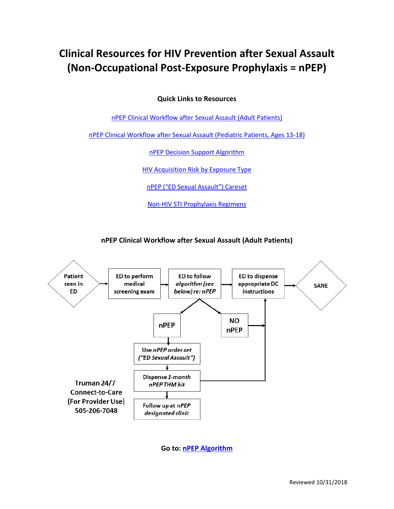# **Clinical Resources for HIV Prevention after Sexual Assault (Non-Occupational Post-Exposure Prophylaxis = nPEP)**

**Quick Links to Resources**

nPEP Clinical Workflow [after Sexual Assault \(Adult Patients\)](#page-0-0)

[nPEP Clinical Workflow after Sexual Assault \(Pediatric Patients, Ages 13-18\)](#page-1-0)

[nPEP Decision Support Algorithm](#page-2-0)

HIV Acquisition [Risk by Exposure Type](#page-2-1)

[nPEP \("ED Sexual Assault"\) Careset](#page-3-0)

[Non-HIV STI Prophylaxis](#page-3-1) Regimens

**nPEP Clinical Workflow after Sexual Assault (Adult Patients)**

<span id="page-0-0"></span>

**Go to: [nPEP Algorithm](#page-2-0)**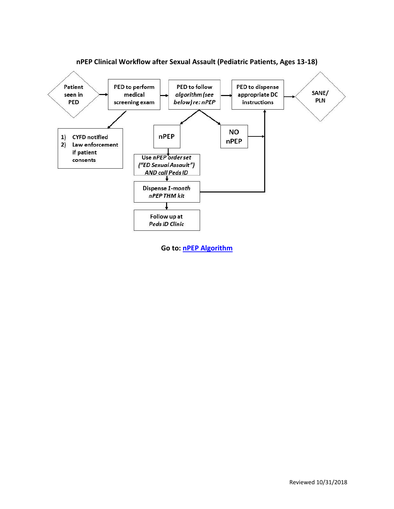<span id="page-1-0"></span>

**nPEP Clinical Workflow after Sexual Assault (Pediatric Patients, Ages 13-18)**

**Go to: nPEP [Algorithm](#page-2-0)**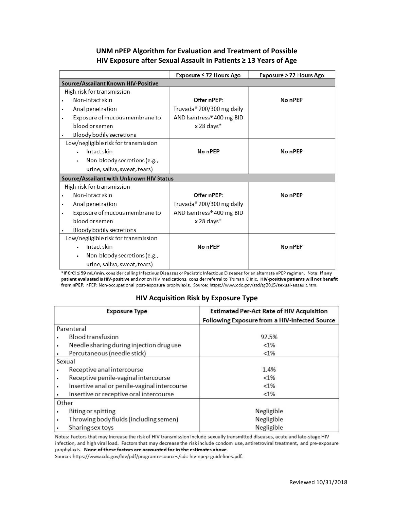# **UNM nPEP Algorithm for Evaluation and Treatment of Possible HIV Exposure after Sexual Assault in Patients ≥ 13 Years of Age**

<span id="page-2-0"></span>

|                                          | Exposure ≤ 72 Hours Ago   | Exposure > 72 Hours Ago |  |  |
|------------------------------------------|---------------------------|-------------------------|--|--|
| Source/Assailant Known HIV-Positive      |                           |                         |  |  |
| High risk for transmission               |                           |                         |  |  |
| Non-intact skin                          | Offer nPEP:               | No nPEP                 |  |  |
| Anal penetration                         | Truvada® 200/300 mg daily |                         |  |  |
| Exposure of mucous membrane to<br>٠      | AND Isentress® 400 mg BID |                         |  |  |
| blood or semen                           | x 28 days*                |                         |  |  |
| Bloody bodily secretions                 |                           |                         |  |  |
| Low/negligible risk for transmission     |                           |                         |  |  |
| Intact skin                              | No nPEP                   | No nPEP                 |  |  |
| Non-bloody secretions (e.g.,<br>٠        |                           |                         |  |  |
| urine, saliva, sweat, tears)             |                           |                         |  |  |
| Source/Assailant with Unknown HIV Status |                           |                         |  |  |
| High risk for transmission               |                           |                         |  |  |
| Non-intact skin<br>٠                     | Offer nPEP:               | No nPEP                 |  |  |
| Anal penetration                         | Truvada® 200/300 mg daily |                         |  |  |
| Exposure of mucous membrane to           | AND Isentress® 400 mg BID |                         |  |  |
| blood or semen                           | x 28 days*                |                         |  |  |
| Bloody bodily secretions                 |                           |                         |  |  |
| Low/negligible risk for transmission     |                           |                         |  |  |
| Intact skin                              | No nPEP                   | No nPEP                 |  |  |
| Non-bloody secretions (e.g.,             |                           |                         |  |  |
| urine, saliva, sweat, tears)             |                           |                         |  |  |

\*If CrCl < 59 mL/min, consider calling Infectious Diseases or Pediatric Infectious Diseases for an alternate nPEP regimen. Note: If any patient evaluated is HIV-positive and not on HIV medications, consider referral to Truman Clinic. HIV-positive patients will not benefit from nPEP. nPEP: Non-occupational post-exposure prophylaxis. Source: https://www.cdc.gov/std/tg2015/sexual-assault.htm.

### **HIV Acquisition Risk by Exposure Type**

<span id="page-2-1"></span>

| <b>Exposure Type</b>                         | <b>Estimated Per-Act Rate of HIV Acquisition</b><br>Following Exposure from a HIV-Infected Source |
|----------------------------------------------|---------------------------------------------------------------------------------------------------|
| Parenteral                                   |                                                                                                   |
| <b>Blood transfusion</b>                     | 92.5%                                                                                             |
| Needle sharing during injection drug use     | $< 1\%$                                                                                           |
| Percutaneous (needle stick)                  | $< 1\%$                                                                                           |
| Sexual                                       |                                                                                                   |
| Receptive anal intercourse                   | 1.4%                                                                                              |
| Receptive penile-vaginal intercourse         | $< 1\%$                                                                                           |
| Insertive anal or penile-vaginal intercourse | $< 1\%$                                                                                           |
| Insertive or receptive oral intercourse      | $< 1\%$                                                                                           |
| Other                                        |                                                                                                   |
| Biting or spitting                           | Negligible                                                                                        |
| Throwing body fluids (including semen)       | Negligible                                                                                        |
| Sharing sex toys                             | Negligible                                                                                        |

Notes: Factors that may increase the risk of HIV transmission include sexually transmitted diseases, acute and late-stage HIV infection, and high viral load. Factors that may decrease the risk include condom use, antiretroviral treatment, and pre-exposure prophylaxis. None of these factors are accounted for in the estimates above.

Source: https://www.cdc.gov/hiv/pdf/programresources/cdc-hiv-npep-guidelines.pdf.